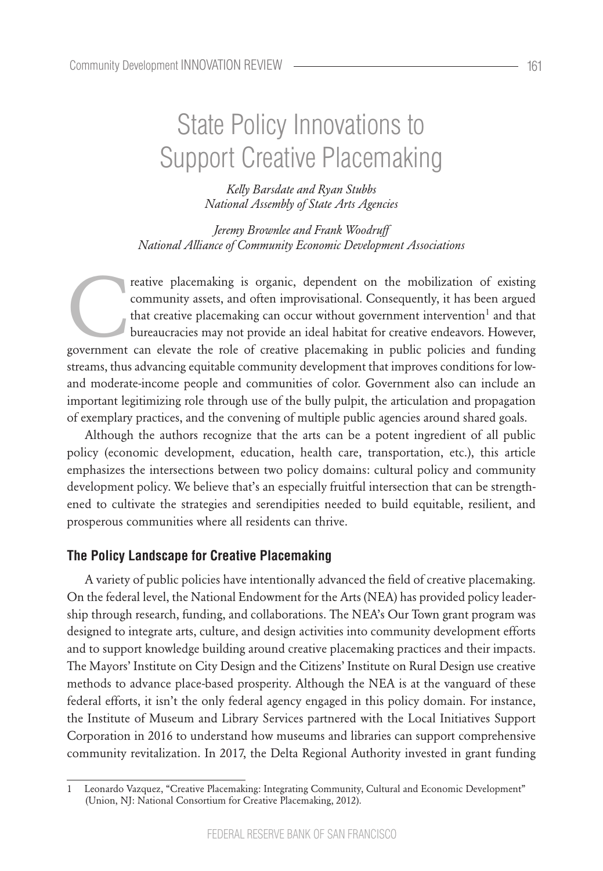# State Policy Innovations to Support Creative Placemaking

*Kelly Barsdate and Ryan Stubbs National Assembly of State Arts Agencies*

*Jeremy Brownlee and Frank Woodruff National Alliance of Community Economic Development Associations*

reative placemaking is organic, dependent on the mobilization of existing community assets, and often improvisational. Consequently, it has been argued that creative placemaking can occur without government intervention<sup>1</sup> community assets, and often improvisational. Consequently, it has been argued that creative placemaking can occur without government intervention<sup>1</sup> and that bureaucracies may not provide an ideal habitat for creative endeavors. However, streams, thus advancing equitable community development that improves conditions for lowand moderate-income people and communities of color. Government also can include an important legitimizing role through use of the bully pulpit, the articulation and propagation of exemplary practices, and the convening of multiple public agencies around shared goals.

Although the authors recognize that the arts can be a potent ingredient of all public policy (economic development, education, health care, transportation, etc.), this article emphasizes the intersections between two policy domains: cultural policy and community development policy. We believe that's an especially fruitful intersection that can be strengthened to cultivate the strategies and serendipities needed to build equitable, resilient, and prosperous communities where all residents can thrive.

#### **The Policy Landscape for Creative Placemaking**

A variety of public policies have intentionally advanced the field of creative placemaking. On the federal level, the National Endowment for the Arts (NEA) has provided policy leadership through research, funding, and collaborations. The NEA's Our Town grant program was designed to integrate arts, culture, and design activities into community development efforts and to support knowledge building around creative placemaking practices and their impacts. The Mayors' Institute on City Design and the Citizens' Institute on Rural Design use creative methods to advance place-based prosperity. Although the NEA is at the vanguard of these federal efforts, it isn't the only federal agency engaged in this policy domain. For instance, the Institute of Museum and Library Services partnered with the Local Initiatives Support Corporation in 2016 to understand how museums and libraries can support comprehensive community revitalization. In 2017, the Delta Regional Authority invested in grant funding

<sup>1</sup> Leonardo Vazquez, "Creative Placemaking: Integrating Community, Cultural and Economic Development" (Union, NJ: National Consortium for Creative Placemaking, 2012).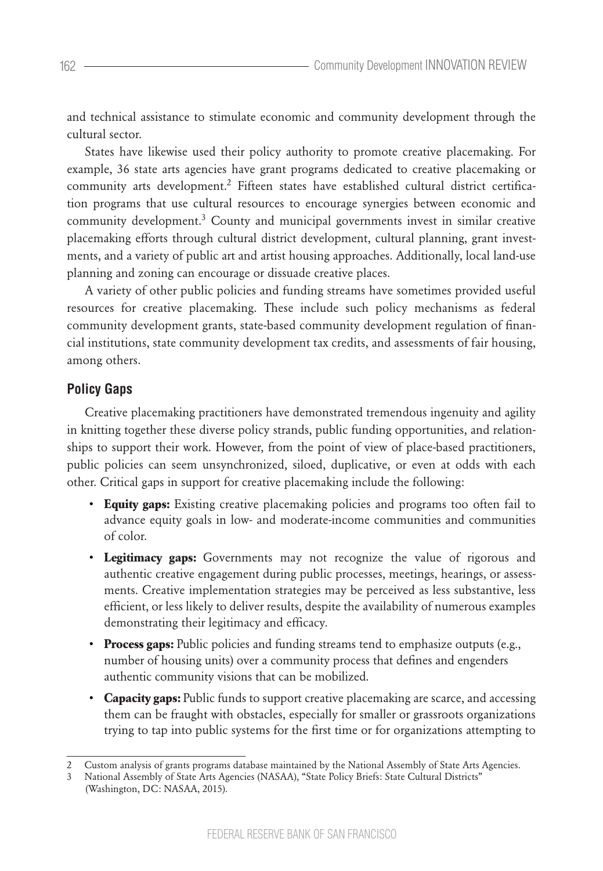and technical assistance to stimulate economic and community development through the cultural sector.

States have likewise used their policy authority to promote creative placemaking. For example, 36 state arts agencies have grant programs dedicated to creative placemaking or community arts development.<sup>2</sup> Fifteen states have established cultural district certification programs that use cultural resources to encourage synergies between economic and community development.<sup>3</sup> County and municipal governments invest in similar creative placemaking efforts through cultural district development, cultural planning, grant investments, and a variety of public art and artist housing approaches. Additionally, local land-use planning and zoning can encourage or dissuade creative places.

A variety of other public policies and funding streams have sometimes provided useful resources for creative placemaking. These include such policy mechanisms as federal community development grants, state-based community development regulation of financial institutions, state community development tax credits, and assessments of fair housing, among others.

## **Policy Gaps**

Creative placemaking practitioners have demonstrated tremendous ingenuity and agility in knitting together these diverse policy strands, public funding opportunities, and relationships to support their work. However, from the point of view of place-based practitioners, public policies can seem unsynchronized, siloed, duplicative, or even at odds with each other. Critical gaps in support for creative placemaking include the following:

- **Equity gaps:** Existing creative placemaking policies and programs too often fail to advance equity goals in low- and moderate-income communities and communities of color.
- **Legitimacy gaps:** Governments may not recognize the value of rigorous and authentic creative engagement during public processes, meetings, hearings, or assessments. Creative implementation strategies may be perceived as less substantive, less efficient, or less likely to deliver results, despite the availability of numerous examples demonstrating their legitimacy and efficacy.
- **Process gaps:** Public policies and funding streams tend to emphasize outputs (e.g., number of housing units) over a community process that defines and engenders authentic community visions that can be mobilized.
- **Capacity gaps:** Public funds to support creative placemaking are scarce, and accessing them can be fraught with obstacles, especially for smaller or grassroots organizations trying to tap into public systems for the first time or for organizations attempting to

<sup>2</sup> Custom analysis of grants programs database maintained by the National Assembly of State Arts Agencies.

<sup>3</sup> National Assembly of State Arts Agencies (NASAA), "State Policy Briefs: State Cultural Districts" (Washington, DC: NASAA, 2015).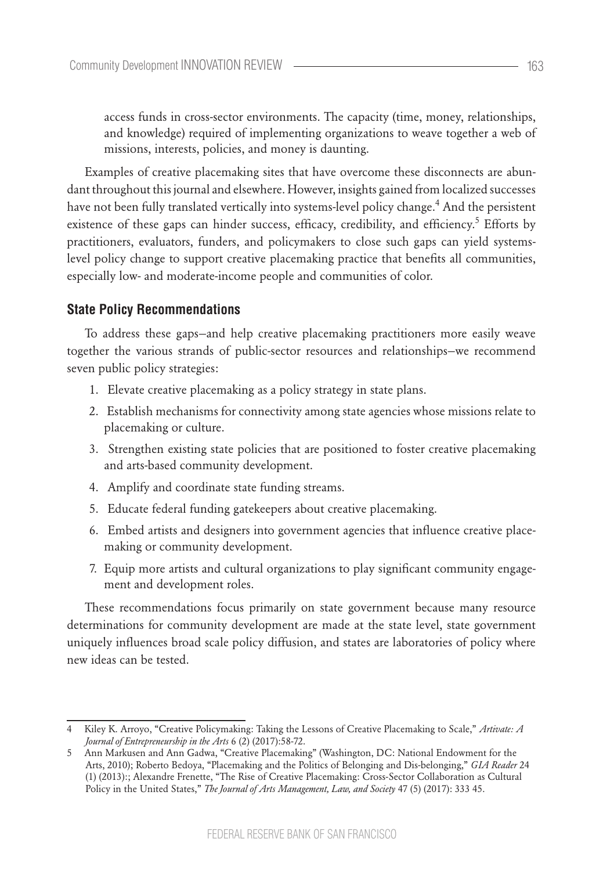access funds in cross-sector environments. The capacity (time, money, relationships, and knowledge) required of implementing organizations to weave together a web of missions, interests, policies, and money is daunting.

Examples of creative placemaking sites that have overcome these disconnects are abundant throughout this journal and elsewhere. However, insights gained from localized successes have not been fully translated vertically into systems-level policy change.<sup>4</sup> And the persistent existence of these gaps can hinder success, efficacy, credibility, and efficiency.<sup>5</sup> Efforts by practitioners, evaluators, funders, and policymakers to close such gaps can yield systemslevel policy change to support creative placemaking practice that benefits all communities, especially low- and moderate-income people and communities of color.

#### **State Policy Recommendations**

To address these gaps—and help creative placemaking practitioners more easily weave together the various strands of public-sector resources and relationships—we recommend seven public policy strategies:

- 1. Elevate creative placemaking as a policy strategy in state plans.
- 2. Establish mechanisms for connectivity among state agencies whose missions relate to placemaking or culture.
- 3. Strengthen existing state policies that are positioned to foster creative placemaking and arts-based community development.
- 4. Amplify and coordinate state funding streams.
- 5. Educate federal funding gatekeepers about creative placemaking.
- 6. Embed artists and designers into government agencies that influence creative placemaking or community development.
- 7. Equip more artists and cultural organizations to play significant community engagement and development roles.

These recommendations focus primarily on state government because many resource determinations for community development are made at the state level, state government uniquely influences broad scale policy diffusion, and states are laboratories of policy where new ideas can be tested.

<sup>4</sup> Kiley K. Arroyo, "Creative Policymaking: Taking the Lessons of Creative Placemaking to Scale," *Artivate: A Journal of Entrepreneurship in the Arts* 6 (2) (2017):58-72.

<sup>5</sup> Ann Markusen and Ann Gadwa, "Creative Placemaking" (Washington, DC: National Endowment for the Arts, 2010); Roberto Bedoya, "Placemaking and the Politics of Belonging and Dis-belonging," *GIA Reader* 24 (1) (2013):; Alexandre Frenette, "The Rise of Creative Placemaking: Cross-Sector Collaboration as Cultural Policy in the United States," *The Journal of Arts Management, Law, and Society* 47 (5) (2017): 333 45.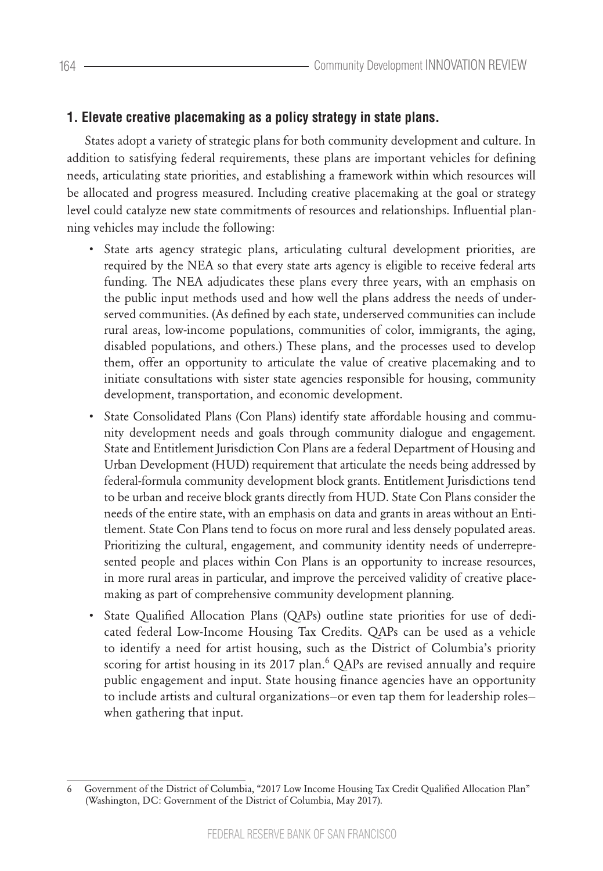# **1. Elevate creative placemaking as a policy strategy in state plans.**

States adopt a variety of strategic plans for both community development and culture. In addition to satisfying federal requirements, these plans are important vehicles for defining needs, articulating state priorities, and establishing a framework within which resources will be allocated and progress measured. Including creative placemaking at the goal or strategy level could catalyze new state commitments of resources and relationships. Influential planning vehicles may include the following:

- State arts agency strategic plans, articulating cultural development priorities, are required by the NEA so that every state arts agency is eligible to receive federal arts funding. The NEA adjudicates these plans every three years, with an emphasis on the public input methods used and how well the plans address the needs of underserved communities. (As defined by each state, underserved communities can include rural areas, low-income populations, communities of color, immigrants, the aging, disabled populations, and others.) These plans, and the processes used to develop them, offer an opportunity to articulate the value of creative placemaking and to initiate consultations with sister state agencies responsible for housing, community development, transportation, and economic development.
- State Consolidated Plans (Con Plans) identify state affordable housing and community development needs and goals through community dialogue and engagement. State and Entitlement Jurisdiction Con Plans are a federal Department of Housing and Urban Development (HUD) requirement that articulate the needs being addressed by federal-formula community development block grants. Entitlement Jurisdictions tend to be urban and receive block grants directly from HUD. State Con Plans consider the needs of the entire state, with an emphasis on data and grants in areas without an Entitlement. State Con Plans tend to focus on more rural and less densely populated areas. Prioritizing the cultural, engagement, and community identity needs of underrepresented people and places within Con Plans is an opportunity to increase resources, in more rural areas in particular, and improve the perceived validity of creative placemaking as part of comprehensive community development planning.
- State Qualified Allocation Plans (QAPs) outline state priorities for use of dedicated federal Low-Income Housing Tax Credits. QAPs can be used as a vehicle to identify a need for artist housing, such as the District of Columbia's priority scoring for artist housing in its 2017 plan.<sup>6</sup> QAPs are revised annually and require public engagement and input. State housing finance agencies have an opportunity to include artists and cultural organizations—or even tap them for leadership roles when gathering that input.

<sup>6</sup> Government of the District of Columbia, "2017 Low Income Housing Tax Credit Qualified Allocation Plan" (Washington, DC: Government of the District of Columbia, May 2017).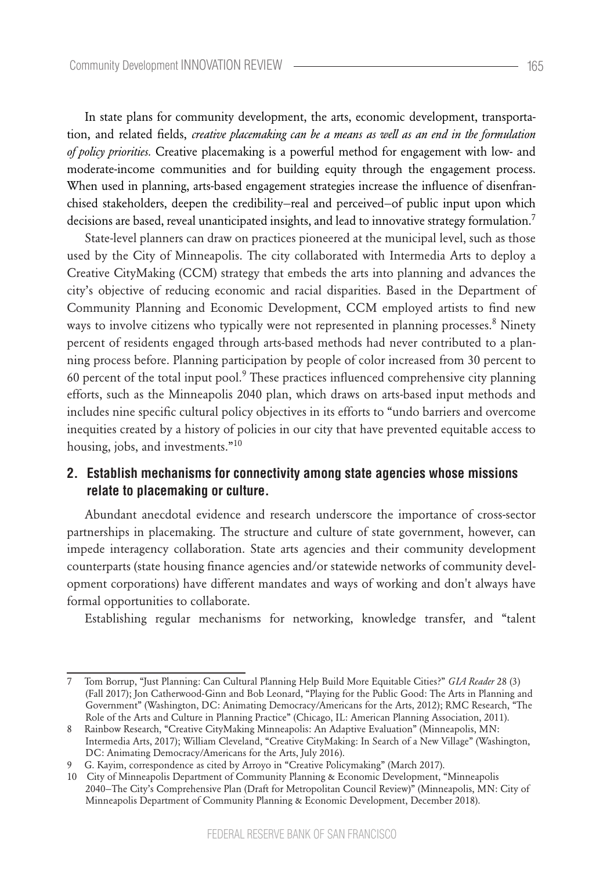In state plans for community development, the arts, economic development, transportation, and related fields, *creative placemaking can be a means as well as an end in the formulation of policy priorities.* Creative placemaking is a powerful method for engagement with low- and moderate-income communities and for building equity through the engagement process. When used in planning, arts-based engagement strategies increase the influence of disenfranchised stakeholders, deepen the credibility—real and perceived—of public input upon which decisions are based, reveal unanticipated insights, and lead to innovative strategy formulation.<sup>7</sup>

State-level planners can draw on practices pioneered at the municipal level, such as those used by the City of Minneapolis. The city collaborated with Intermedia Arts to deploy a Creative CityMaking (CCM) strategy that embeds the arts into planning and advances the city's objective of reducing economic and racial disparities. Based in the Department of Community Planning and Economic Development, CCM employed artists to find new ways to involve citizens who typically were not represented in planning processes. $8$  Ninety percent of residents engaged through arts-based methods had never contributed to a planning process before. Planning participation by people of color increased from 30 percent to 60 percent of the total input pool. $9$  These practices influenced comprehensive city planning efforts, such as the Minneapolis 2040 plan, which draws on arts-based input methods and includes nine specific cultural policy objectives in its efforts to "undo barriers and overcome inequities created by a history of policies in our city that have prevented equitable access to housing, jobs, and investments."<sup>10</sup>

## **2. Establish mechanisms for connectivity among state agencies whose missions relate to placemaking or culture.**

Abundant anecdotal evidence and research underscore the importance of cross-sector partnerships in placemaking. The structure and culture of state government, however, can impede interagency collaboration. State arts agencies and their community development counterparts (state housing finance agencies and/or statewide networks of community development corporations) have different mandates and ways of working and don't always have formal opportunities to collaborate.

Establishing regular mechanisms for networking, knowledge transfer, and "talent

<sup>7</sup> Tom Borrup, "Just Planning: Can Cultural Planning Help Build More Equitable Cities?" *GIA Reader* 28 (3) (Fall 2017); Jon Catherwood-Ginn and Bob Leonard, "Playing for the Public Good: The Arts in Planning and Government" (Washington, DC: Animating Democracy/Americans for the Arts, 2012); RMC Research, "The Role of the Arts and Culture in Planning Practice" (Chicago, IL: American Planning Association, 2011).

<sup>8</sup> Rainbow Research, "Creative CityMaking Minneapolis: An Adaptive Evaluation" (Minneapolis, MN: Intermedia Arts, 2017); William Cleveland, "Creative CityMaking: In Search of a New Village" (Washington, DC: Animating Democracy/Americans for the Arts, July 2016).

<sup>9</sup> G. Kayim, correspondence as cited by Arroyo in "Creative Policymaking" (March 2017).

<sup>10</sup> City of Minneapolis Department of Community Planning & Economic Development, "Minneapolis 2040—The City's Comprehensive Plan (Draft for Metropolitan Council Review)" (Minneapolis, MN: City of Minneapolis Department of Community Planning & Economic Development, December 2018).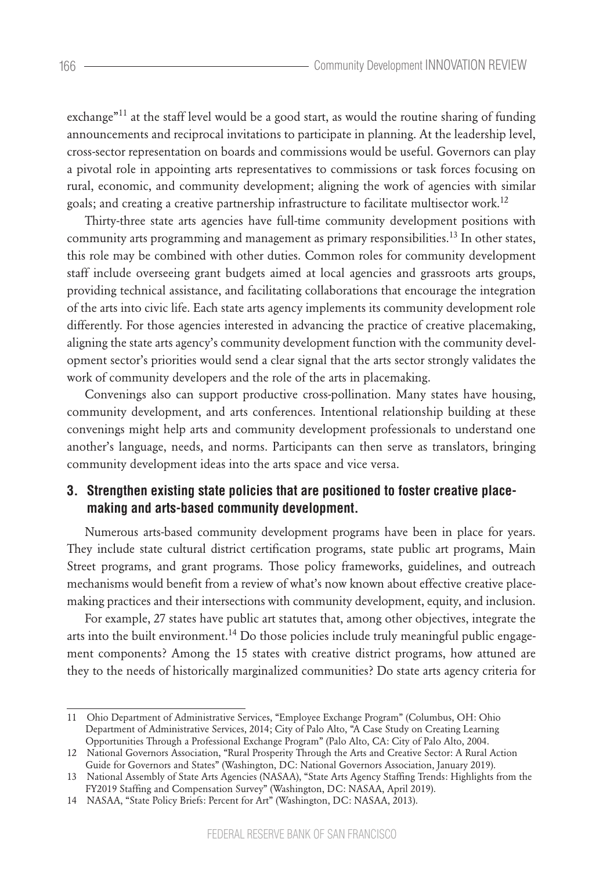exchange<sup>"11</sup> at the staff level would be a good start, as would the routine sharing of funding announcements and reciprocal invitations to participate in planning. At the leadership level, cross-sector representation on boards and commissions would be useful. Governors can play a pivotal role in appointing arts representatives to commissions or task forces focusing on rural, economic, and community development; aligning the work of agencies with similar goals; and creating a creative partnership infrastructure to facilitate multisector work.<sup>12</sup>

Thirty-three state arts agencies have full-time community development positions with community arts programming and management as primary responsibilities.<sup>13</sup> In other states, this role may be combined with other duties. Common roles for community development staff include overseeing grant budgets aimed at local agencies and grassroots arts groups, providing technical assistance, and facilitating collaborations that encourage the integration of the arts into civic life. Each state arts agency implements its community development role differently. For those agencies interested in advancing the practice of creative placemaking, aligning the state arts agency's community development function with the community development sector's priorities would send a clear signal that the arts sector strongly validates the work of community developers and the role of the arts in placemaking.

Convenings also can support productive cross-pollination. Many states have housing, community development, and arts conferences. Intentional relationship building at these convenings might help arts and community development professionals to understand one another's language, needs, and norms. Participants can then serve as translators, bringing community development ideas into the arts space and vice versa.

## **3. Strengthen existing state policies that are positioned to foster creative placemaking and arts-based community development.**

Numerous arts-based community development programs have been in place for years. They include state cultural district certification programs, state public art programs, Main Street programs, and grant programs. Those policy frameworks, guidelines, and outreach mechanisms would benefit from a review of what's now known about effective creative placemaking practices and their intersections with community development, equity, and inclusion.

For example, 27 states have public art statutes that, among other objectives, integrate the arts into the built environment.<sup>14</sup> Do those policies include truly meaningful public engagement components? Among the 15 states with creative district programs, how attuned are they to the needs of historically marginalized communities? Do state arts agency criteria for

<sup>11</sup> Ohio Department of Administrative Services, "Employee Exchange Program" (Columbus, OH: Ohio Department of Administrative Services, 2014; City of Palo Alto, "A Case Study on Creating Learning Opportunities Through a Professional Exchange Program" (Palo Alto, CA: City of Palo Alto, 2004.

<sup>12</sup> National Governors Association, "Rural Prosperity Through the Arts and Creative Sector: A Rural Action Guide for Governors and States" (Washington, DC: National Governors Association, January 2019).

<sup>13</sup> National Assembly of State Arts Agencies (NASAA), "State Arts Agency Staffing Trends: Highlights from the FY2019 Staffing and Compensation Survey" (Washington, DC: NASAA, April 2019).

<sup>14</sup> NASAA, "State Policy Briefs: Percent for Art" (Washington, DC: NASAA, 2013).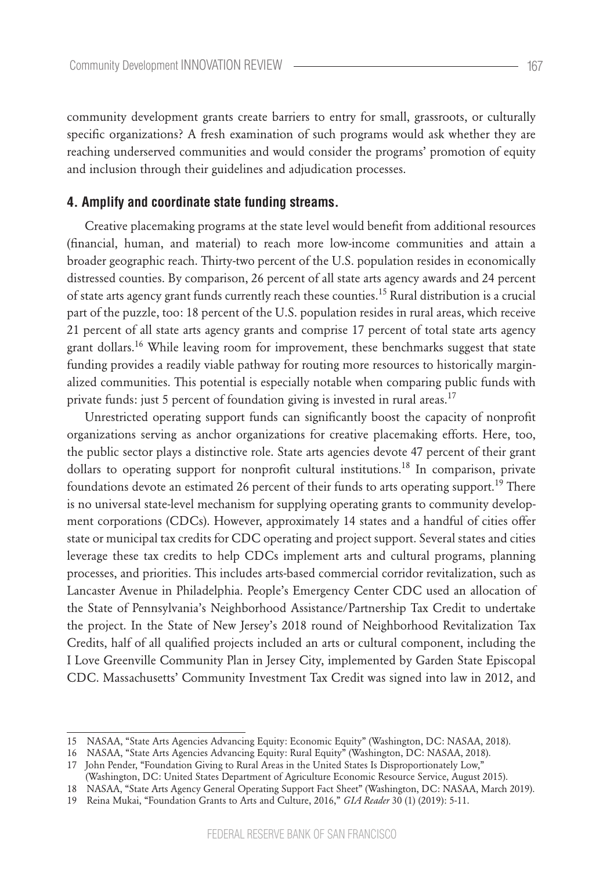community development grants create barriers to entry for small, grassroots, or culturally specific organizations? A fresh examination of such programs would ask whether they are reaching underserved communities and would consider the programs' promotion of equity and inclusion through their guidelines and adjudication processes.

### **4. Amplify and coordinate state funding streams.**

Creative placemaking programs at the state level would benefit from additional resources (financial, human, and material) to reach more low-income communities and attain a broader geographic reach. Thirty-two percent of the U.S. population resides in economically distressed counties. By comparison, 26 percent of all state arts agency awards and 24 percent of state arts agency grant funds currently reach these counties.15 Rural distribution is a crucial part of the puzzle, too: 18 percent of the U.S. population resides in rural areas, which receive 21 percent of all state arts agency grants and comprise 17 percent of total state arts agency grant dollars.<sup>16</sup> While leaving room for improvement, these benchmarks suggest that state funding provides a readily viable pathway for routing more resources to historically marginalized communities. This potential is especially notable when comparing public funds with private funds: just 5 percent of foundation giving is invested in rural areas.<sup>17</sup>

Unrestricted operating support funds can significantly boost the capacity of nonprofit organizations serving as anchor organizations for creative placemaking efforts. Here, too, the public sector plays a distinctive role. State arts agencies devote 47 percent of their grant dollars to operating support for nonprofit cultural institutions.<sup>18</sup> In comparison, private foundations devote an estimated 26 percent of their funds to arts operating support.<sup>19</sup> There is no universal state-level mechanism for supplying operating grants to community development corporations (CDCs). However, approximately 14 states and a handful of cities offer state or municipal tax credits for CDC operating and project support. Several states and cities leverage these tax credits to help CDCs implement arts and cultural programs, planning processes, and priorities. This includes arts-based commercial corridor revitalization, such as Lancaster Avenue in Philadelphia. People's Emergency Center CDC used an allocation of the State of Pennsylvania's Neighborhood Assistance/Partnership Tax Credit to undertake the project. In the State of New Jersey's 2018 round of Neighborhood Revitalization Tax Credits, half of all qualified projects included an arts or cultural component, including the I Love Greenville Community Plan in Jersey City, implemented by Garden State Episcopal CDC. Massachusetts' Community Investment Tax Credit was signed into law in 2012, and

<sup>15</sup> NASAA, "State Arts Agencies Advancing Equity: Economic Equity" (Washington, DC: NASAA, 2018).

<sup>16</sup> NASAA, "State Arts Agencies Advancing Equity: Rural Equity" (Washington, DC: NASAA, 2018).

<sup>17</sup> John Pender, "Foundation Giving to Rural Areas in the United States Is Disproportionately Low,"

<sup>(</sup>Washington, DC: United States Department of Agriculture Economic Resource Service, August 2015).

<sup>18</sup> NASAA, "State Arts Agency General Operating Support Fact Sheet" (Washington, DC: NASAA, March 2019).

<sup>19</sup> Reina Mukai, "Foundation Grants to Arts and Culture, 2016," *GIA Reader* 30 (1) (2019): 5-11.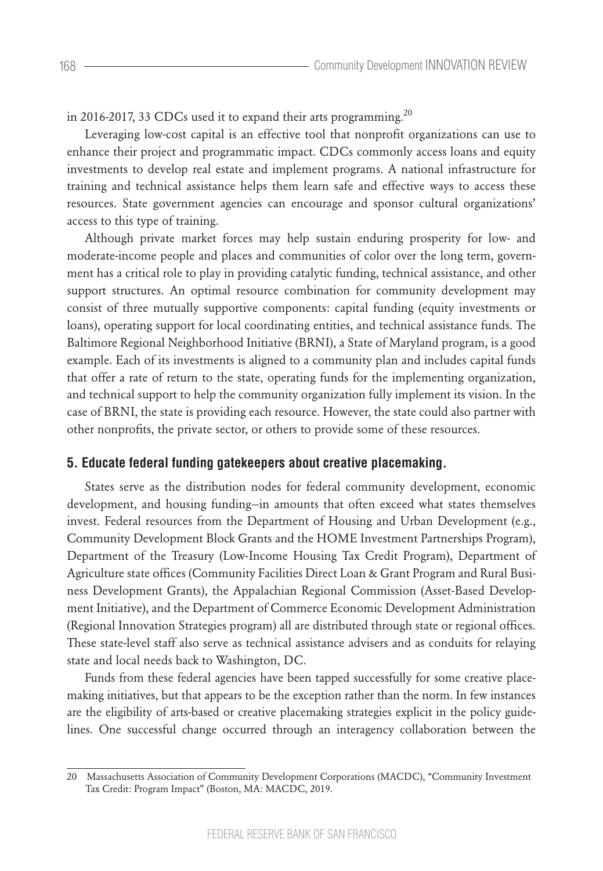in 2016-2017, 33 CDCs used it to expand their arts programming.<sup>20</sup>

Leveraging low-cost capital is an effective tool that nonprofit organizations can use to enhance their project and programmatic impact. CDCs commonly access loans and equity investments to develop real estate and implement programs. A national infrastructure for training and technical assistance helps them learn safe and effective ways to access these resources. State government agencies can encourage and sponsor cultural organizations' access to this type of training.

Although private market forces may help sustain enduring prosperity for low- and moderate-income people and places and communities of color over the long term, government has a critical role to play in providing catalytic funding, technical assistance, and other support structures. An optimal resource combination for community development may consist of three mutually supportive components: capital funding (equity investments or loans), operating support for local coordinating entities, and technical assistance funds. The Baltimore Regional Neighborhood Initiative (BRNI), a State of Maryland program, is a good example. Each of its investments is aligned to a community plan and includes capital funds that offer a rate of return to the state, operating funds for the implementing organization, and technical support to help the community organization fully implement its vision. In the case of BRNI, the state is providing each resource. However, the state could also partner with other nonprofits, the private sector, or others to provide some of these resources.

#### **5. Educate federal funding gatekeepers about creative placemaking.**

States serve as the distribution nodes for federal community development, economic development, and housing funding—in amounts that often exceed what states themselves invest. Federal resources from the Department of Housing and Urban Development (e.g., Community Development Block Grants and the HOME Investment Partnerships Program), Department of the Treasury (Low-Income Housing Tax Credit Program), Department of Agriculture state offices (Community Facilities Direct Loan & Grant Program and Rural Business Development Grants), the Appalachian Regional Commission (Asset-Based Development Initiative), and the Department of Commerce Economic Development Administration (Regional Innovation Strategies program) all are distributed through state or regional offices. These state-level staff also serve as technical assistance advisers and as conduits for relaying state and local needs back to Washington, DC.

Funds from these federal agencies have been tapped successfully for some creative placemaking initiatives, but that appears to be the exception rather than the norm. In few instances are the eligibility of arts-based or creative placemaking strategies explicit in the policy guidelines. One successful change occurred through an interagency collaboration between the

<sup>20</sup> Massachusetts Association of Community Development Corporations (MACDC), "Community Investment Tax Credit: Program Impact" (Boston, MA: MACDC, 2019.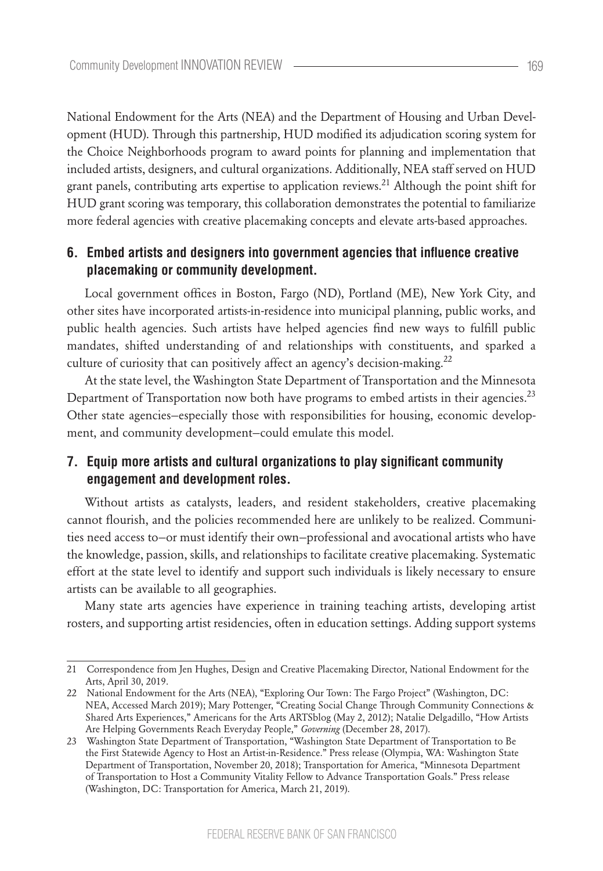National Endowment for the Arts (NEA) and the Department of Housing and Urban Development (HUD). Through this partnership, HUD modified its adjudication scoring system for the Choice Neighborhoods program to award points for planning and implementation that included artists, designers, and cultural organizations. Additionally, NEA staff served on HUD grant panels, contributing arts expertise to application reviews.21 Although the point shift for HUD grant scoring was temporary, this collaboration demonstrates the potential to familiarize more federal agencies with creative placemaking concepts and elevate arts-based approaches.

## **6. Embed artists and designers into government agencies that influence creative placemaking or community development.**

Local government offices in Boston, Fargo (ND), Portland (ME), New York City, and other sites have incorporated artists-in-residence into municipal planning, public works, and public health agencies. Such artists have helped agencies find new ways to fulfill public mandates, shifted understanding of and relationships with constituents, and sparked a culture of curiosity that can positively affect an agency's decision-making.<sup>22</sup>

At the state level, the Washington State Department of Transportation and the Minnesota Department of Transportation now both have programs to embed artists in their agencies.<sup>23</sup> Other state agencies—especially those with responsibilities for housing, economic development, and community development—could emulate this model.

# **7. Equip more artists and cultural organizations to play significant community engagement and development roles.**

Without artists as catalysts, leaders, and resident stakeholders, creative placemaking cannot flourish, and the policies recommended here are unlikely to be realized. Communities need access to—or must identify their own—professional and avocational artists who have the knowledge, passion, skills, and relationships to facilitate creative placemaking. Systematic effort at the state level to identify and support such individuals is likely necessary to ensure artists can be available to all geographies.

Many state arts agencies have experience in training teaching artists, developing artist rosters, and supporting artist residencies, often in education settings. Adding support systems

<sup>21</sup> Correspondence from Jen Hughes, Design and Creative Placemaking Director, National Endowment for the Arts, April 30, 2019.

<sup>22</sup> National Endowment for the Arts (NEA), "Exploring Our Town: The Fargo Project" (Washington, DC: NEA, Accessed March 2019); Mary Pottenger, "Creating Social Change Through Community Connections & Shared Arts Experiences," Americans for the Arts ARTSblog (May 2, 2012); Natalie Delgadillo, "How Artists Are Helping Governments Reach Everyday People," *Governing* (December 28, 2017).

<sup>23</sup> Washington State Department of Transportation, "Washington State Department of Transportation to Be the First Statewide Agency to Host an Artist-in-Residence." Press release (Olympia, WA: Washington State Department of Transportation, November 20, 2018); Transportation for America, "Minnesota Department of Transportation to Host a Community Vitality Fellow to Advance Transportation Goals." Press release (Washington, DC: Transportation for America, March 21, 2019).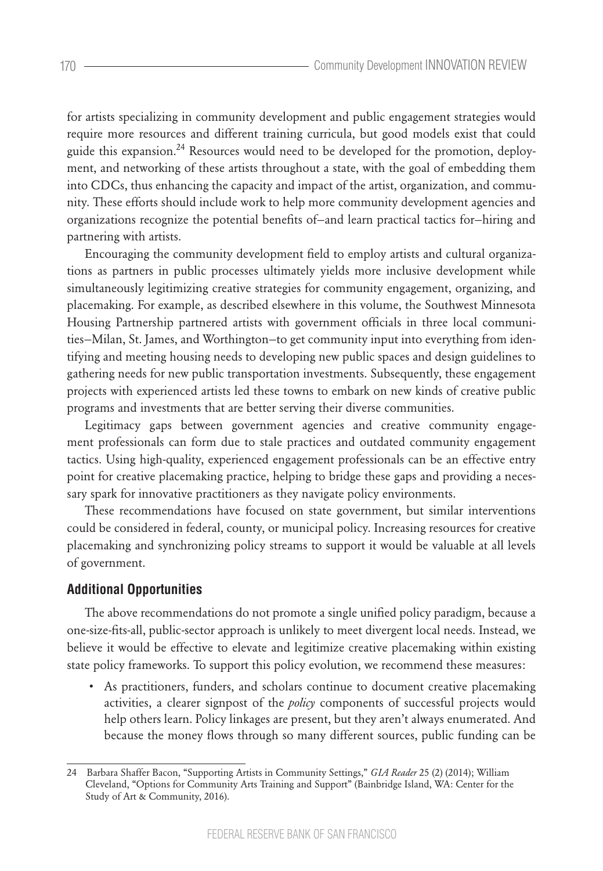for artists specializing in community development and public engagement strategies would require more resources and different training curricula, but good models exist that could guide this expansion.<sup>24</sup> Resources would need to be developed for the promotion, deployment, and networking of these artists throughout a state, with the goal of embedding them into CDCs, thus enhancing the capacity and impact of the artist, organization, and community. These efforts should include work to help more community development agencies and organizations recognize the potential benefits of—and learn practical tactics for—hiring and partnering with artists.

Encouraging the community development field to employ artists and cultural organizations as partners in public processes ultimately yields more inclusive development while simultaneously legitimizing creative strategies for community engagement, organizing, and placemaking. For example, as described elsewhere in this volume, the Southwest Minnesota Housing Partnership partnered artists with government officials in three local communities—Milan, St. James, and Worthington—to get community input into everything from identifying and meeting housing needs to developing new public spaces and design guidelines to gathering needs for new public transportation investments. Subsequently, these engagement projects with experienced artists led these towns to embark on new kinds of creative public programs and investments that are better serving their diverse communities.

Legitimacy gaps between government agencies and creative community engagement professionals can form due to stale practices and outdated community engagement tactics. Using high-quality, experienced engagement professionals can be an effective entry point for creative placemaking practice, helping to bridge these gaps and providing a necessary spark for innovative practitioners as they navigate policy environments.

These recommendations have focused on state government, but similar interventions could be considered in federal, county, or municipal policy. Increasing resources for creative placemaking and synchronizing policy streams to support it would be valuable at all levels of government.

### **Additional Opportunities**

The above recommendations do not promote a single unified policy paradigm, because a one-size-fits-all, public-sector approach is unlikely to meet divergent local needs. Instead, we believe it would be effective to elevate and legitimize creative placemaking within existing state policy frameworks. To support this policy evolution, we recommend these measures:

• As practitioners, funders, and scholars continue to document creative placemaking activities, a clearer signpost of the *policy* components of successful projects would help others learn. Policy linkages are present, but they aren't always enumerated. And because the money flows through so many different sources, public funding can be

<sup>24</sup> Barbara Shaffer Bacon, "Supporting Artists in Community Settings," *GIA Reader* 25 (2) (2014); William Cleveland, "Options for Community Arts Training and Support" (Bainbridge Island, WA: Center for the Study of Art & Community, 2016).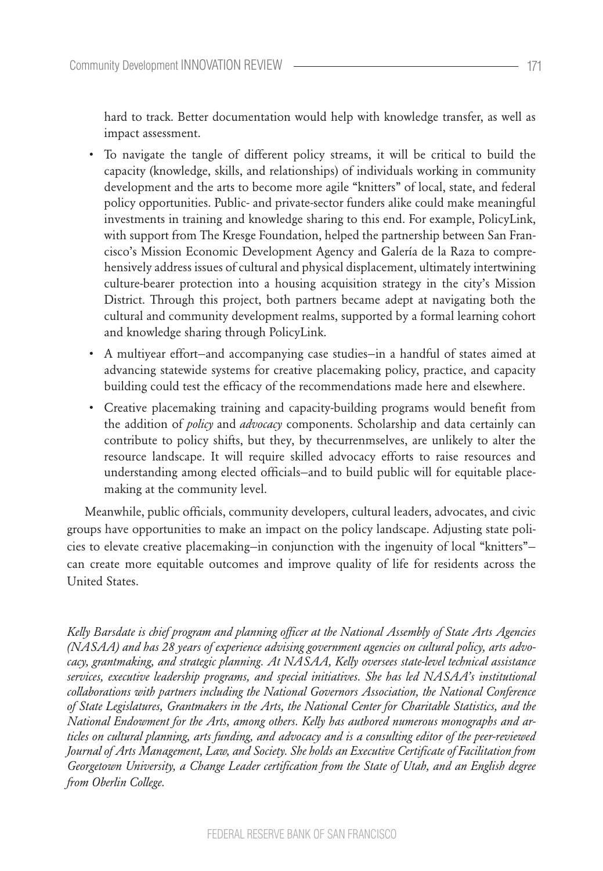hard to track. Better documentation would help with knowledge transfer, as well as impact assessment.

- To navigate the tangle of different policy streams, it will be critical to build the capacity (knowledge, skills, and relationships) of individuals working in community development and the arts to become more agile "knitters" of local, state, and federal policy opportunities. Public- and private-sector funders alike could make meaningful investments in training and knowledge sharing to this end. For example, PolicyLink, with support from The Kresge Foundation, helped the partnership between San Francisco's Mission Economic Development Agency and Galería de la Raza to comprehensively address issues of cultural and physical displacement, ultimately intertwining culture-bearer protection into a housing acquisition strategy in the city's Mission District. Through this project, both partners became adept at navigating both the cultural and community development realms, supported by a formal learning cohort and knowledge sharing through PolicyLink.
- A multiyear effort—and accompanying case studies—in a handful of states aimed at advancing statewide systems for creative placemaking policy, practice, and capacity building could test the efficacy of the recommendations made here and elsewhere.
- Creative placemaking training and capacity-building programs would benefit from the addition of *policy* and *advocacy* components. Scholarship and data certainly can contribute to policy shifts, but they, by thecurrenmselves, are unlikely to alter the resource landscape. It will require skilled advocacy efforts to raise resources and understanding among elected officials—and to build public will for equitable placemaking at the community level.

Meanwhile, public officials, community developers, cultural leaders, advocates, and civic groups have opportunities to make an impact on the policy landscape. Adjusting state policies to elevate creative placemaking—in conjunction with the ingenuity of local "knitters" can create more equitable outcomes and improve quality of life for residents across the United States.

*Kelly Barsdate is chief program and planning officer at the National Assembly of State Arts Agencies (NASAA) and has 28 years of experience advising government agencies on cultural policy, arts advocacy, grantmaking, and strategic planning. At NASAA, Kelly oversees state-level technical assistance services, executive leadership programs, and special initiatives. She has led NASAA's institutional collaborations with partners including the National Governors Association, the National Conference of State Legislatures, Grantmakers in the Arts, the National Center for Charitable Statistics, and the National Endowment for the Arts, among others. Kelly has authored numerous monographs and articles on cultural planning, arts funding, and advocacy and is a consulting editor of the peer-reviewed Journal of Arts Management, Law, and Society. She holds an Executive Certificate of Facilitation from Georgetown University, a Change Leader certification from the State of Utah, and an English degree from Oberlin College.*